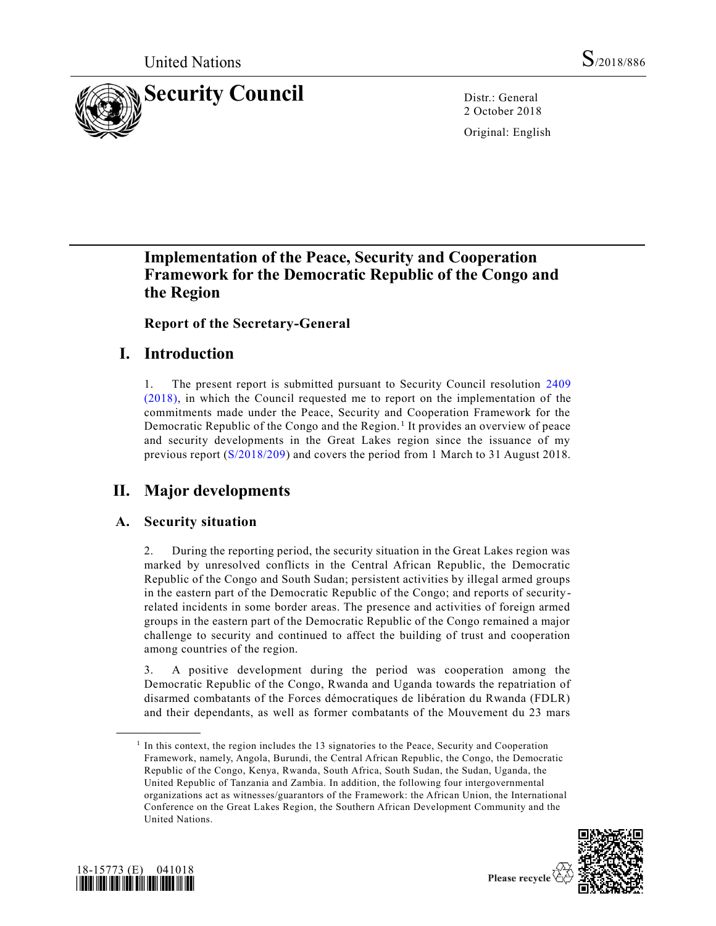

2 October 2018

Original: English

# **Implementation of the Peace, Security and Cooperation Framework for the Democratic Republic of the Congo and the Region**

**Report of the Secretary-General**

# **I. Introduction**

1. The present report is submitted pursuant to Security Council resolution [2409](https://undocs.org/S/RES/2409(2018))  [\(2018\),](https://undocs.org/S/RES/2409(2018)) in which the Council requested me to report on the implementation of the commitments made under the Peace, Security and Cooperation Framework for the Democratic Republic of the Congo and the Region.<sup>1</sup> It provides an overview of peace and security developments in the Great Lakes region since the issuance of my previous report [\(S/2018/209\)](https://undocs.org/S/2018/209) and covers the period from 1 March to 31 August 2018.

# **II. Major developments**

## **A. Security situation**

2. During the reporting period, the security situation in the Great Lakes region was marked by unresolved conflicts in the Central African Republic, the Democratic Republic of the Congo and South Sudan; persistent activities by illegal armed groups in the eastern part of the Democratic Republic of the Congo; and reports of securityrelated incidents in some border areas. The presence and activities of foreign armed groups in the eastern part of the Democratic Republic of the Congo remained a major challenge to security and continued to affect the building of trust and cooperation among countries of the region.

3. A positive development during the period was cooperation among the Democratic Republic of the Congo, Rwanda and Uganda towards the repatriation of disarmed combatants of the Forces démocratiques de libération du Rwanda (FDLR) and their dependants, as well as former combatants of the Mouvement du 23 mars

<sup>&</sup>lt;sup>1</sup> In this context, the region includes the 13 signatories to the Peace, Security and Cooperation Framework, namely, Angola, Burundi, the Central African Republic, the Congo, the Democratic Republic of the Congo, Kenya, Rwanda, South Africa, South Sudan, the Sudan, Uganda, the United Republic of Tanzania and Zambia. In addition, the following four intergovernmental organizations act as witnesses/guarantors of the Framework: the African Union, the International Conference on the Great Lakes Region, the Southern African Development Community and the United Nations.





**\_\_\_\_\_\_\_\_\_\_\_\_\_\_\_\_\_\_**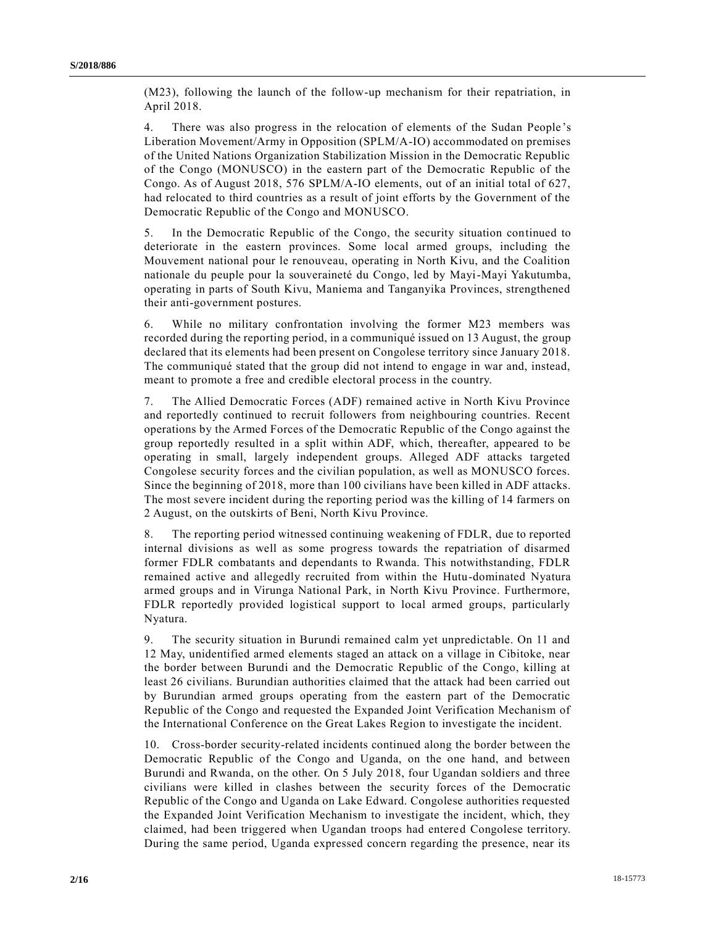(M23), following the launch of the follow-up mechanism for their repatriation, in April 2018.

4. There was also progress in the relocation of elements of the Sudan People 's Liberation Movement/Army in Opposition (SPLM/A-IO) accommodated on premises of the United Nations Organization Stabilization Mission in the Democratic Republic of the Congo (MONUSCO) in the eastern part of the Democratic Republic of the Congo. As of August 2018, 576 SPLM/A-IO elements, out of an initial total of 627, had relocated to third countries as a result of joint efforts by the Government of the Democratic Republic of the Congo and MONUSCO.

5. In the Democratic Republic of the Congo, the security situation continued to deteriorate in the eastern provinces. Some local armed groups, including the Mouvement national pour le renouveau, operating in North Kivu, and the Coalition nationale du peuple pour la souveraineté du Congo, led by Mayi-Mayi Yakutumba, operating in parts of South Kivu, Maniema and Tanganyika Provinces, strengthened their anti-government postures.

6. While no military confrontation involving the former M23 members was recorded during the reporting period, in a communiqué issued on 13 August, the group declared that its elements had been present on Congolese territory since January 2018. The communiqué stated that the group did not intend to engage in war and, instead, meant to promote a free and credible electoral process in the country.

7. The Allied Democratic Forces (ADF) remained active in North Kivu Province and reportedly continued to recruit followers from neighbouring countries. Recent operations by the Armed Forces of the Democratic Republic of the Congo against the group reportedly resulted in a split within ADF, which, thereafter, appeared to be operating in small, largely independent groups. Alleged ADF attacks targeted Congolese security forces and the civilian population, as well as MONUSCO forces. Since the beginning of 2018, more than 100 civilians have been killed in ADF attacks. The most severe incident during the reporting period was the killing of 14 farmers on 2 August, on the outskirts of Beni, North Kivu Province.

8. The reporting period witnessed continuing weakening of FDLR, due to reported internal divisions as well as some progress towards the repatriation of disarmed former FDLR combatants and dependants to Rwanda. This notwithstanding, FDLR remained active and allegedly recruited from within the Hutu-dominated Nyatura armed groups and in Virunga National Park, in North Kivu Province. Furthermore, FDLR reportedly provided logistical support to local armed groups, particularly Nyatura.

9. The security situation in Burundi remained calm yet unpredictable. On 11 and 12 May, unidentified armed elements staged an attack on a village in Cibitoke, near the border between Burundi and the Democratic Republic of the Congo, killing at least 26 civilians. Burundian authorities claimed that the attack had been carried out by Burundian armed groups operating from the eastern part of the Democratic Republic of the Congo and requested the Expanded Joint Verification Mechanism of the International Conference on the Great Lakes Region to investigate the incident.

10. Cross-border security-related incidents continued along the border between the Democratic Republic of the Congo and Uganda, on the one hand, and between Burundi and Rwanda, on the other. On 5 July 2018, four Ugandan soldiers and three civilians were killed in clashes between the security forces of the Democratic Republic of the Congo and Uganda on Lake Edward. Congolese authorities requested the Expanded Joint Verification Mechanism to investigate the incident, which, they claimed, had been triggered when Ugandan troops had entered Congolese territory. During the same period, Uganda expressed concern regarding the presence, near its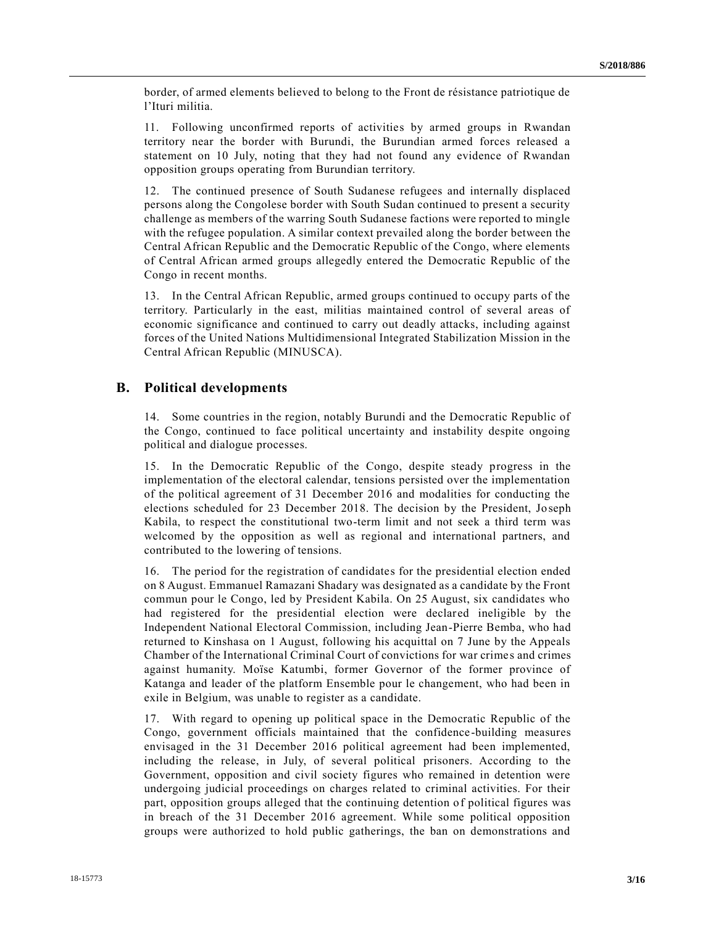border, of armed elements believed to belong to the Front de résistance patriotique de l'Ituri militia.

11. Following unconfirmed reports of activities by armed groups in Rwandan territory near the border with Burundi, the Burundian armed forces released a statement on 10 July, noting that they had not found any evidence of Rwandan opposition groups operating from Burundian territory.

12. The continued presence of South Sudanese refugees and internally displaced persons along the Congolese border with South Sudan continued to present a security challenge as members of the warring South Sudanese factions were reported to mingle with the refugee population. A similar context prevailed along the border between the Central African Republic and the Democratic Republic of the Congo, where elements of Central African armed groups allegedly entered the Democratic Republic of the Congo in recent months.

13. In the Central African Republic, armed groups continued to occupy parts of the territory. Particularly in the east, militias maintained control of several areas of economic significance and continued to carry out deadly attacks, including against forces of the United Nations Multidimensional Integrated Stabilization Mission in the Central African Republic (MINUSCA).

### **B. Political developments**

14. Some countries in the region, notably Burundi and the Democratic Republic of the Congo, continued to face political uncertainty and instability despite ongoing political and dialogue processes.

15. In the Democratic Republic of the Congo, despite steady progress in the implementation of the electoral calendar, tensions persisted over the implementation of the political agreement of 31 December 2016 and modalities for conducting the elections scheduled for 23 December 2018. The decision by the President, Joseph Kabila, to respect the constitutional two-term limit and not seek a third term was welcomed by the opposition as well as regional and international partners, and contributed to the lowering of tensions.

16. The period for the registration of candidates for the presidential election ended on 8 August. Emmanuel Ramazani Shadary was designated as a candidate by the Front commun pour le Congo, led by President Kabila. On 25 August, six candidates who had registered for the presidential election were declared ineligible by the Independent National Electoral Commission, including Jean-Pierre Bemba, who had returned to Kinshasa on 1 August, following his acquittal on 7 June by the Appeals Chamber of the International Criminal Court of convictions for war crime s and crimes against humanity. Moïse Katumbi, former Governor of the former province of Katanga and leader of the platform Ensemble pour le changement, who had been in exile in Belgium, was unable to register as a candidate.

17. With regard to opening up political space in the Democratic Republic of the Congo, government officials maintained that the confidence-building measures envisaged in the 31 December 2016 political agreement had been implemented, including the release, in July, of several political prisoners. According to the Government, opposition and civil society figures who remained in detention were undergoing judicial proceedings on charges related to criminal activities. For their part, opposition groups alleged that the continuing detention of political figures was in breach of the 31 December 2016 agreement. While some political opposition groups were authorized to hold public gatherings, the ban on demonstrations and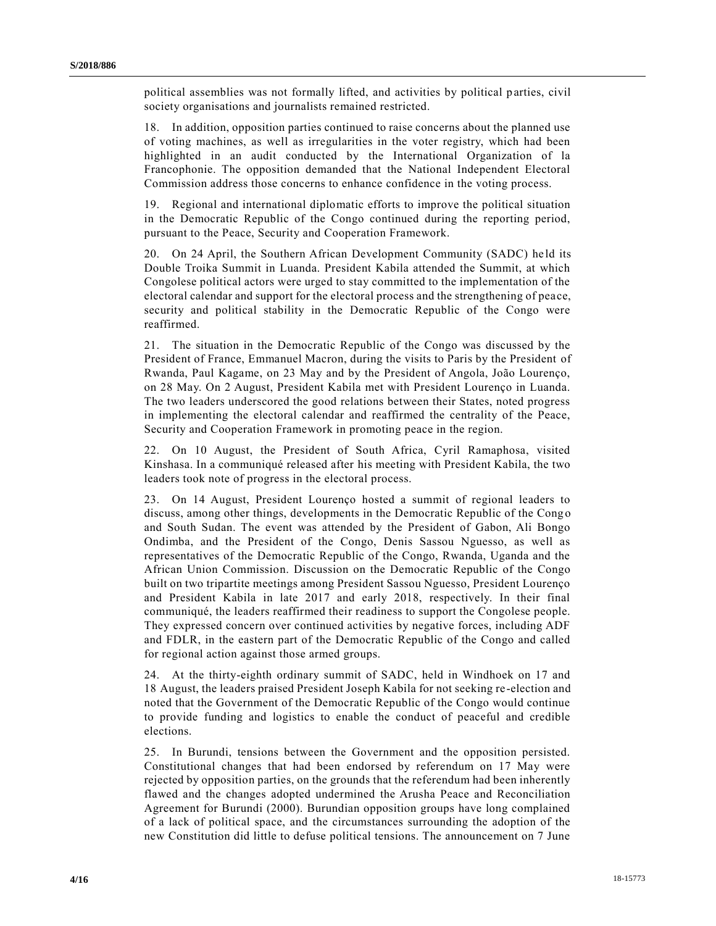political assemblies was not formally lifted, and activities by political p arties, civil society organisations and journalists remained restricted.

18. In addition, opposition parties continued to raise concerns about the planned use of voting machines, as well as irregularities in the voter registry, which had been highlighted in an audit conducted by the International Organization of la Francophonie. The opposition demanded that the National Independent Electoral Commission address those concerns to enhance confidence in the voting process.

19. Regional and international diplomatic efforts to improve the political situation in the Democratic Republic of the Congo continued during the reporting period, pursuant to the Peace, Security and Cooperation Framework.

20. On 24 April, the Southern African Development Community (SADC) held its Double Troika Summit in Luanda. President Kabila attended the Summit, at which Congolese political actors were urged to stay committed to the implementation of the electoral calendar and support for the electoral process and the strengthening of pea ce, security and political stability in the Democratic Republic of the Congo were reaffirmed.

21. The situation in the Democratic Republic of the Congo was discussed by the President of France, Emmanuel Macron, during the visits to Paris by the President of Rwanda, Paul Kagame, on 23 May and by the President of Angola, João Lourenço, on 28 May. On 2 August, President Kabila met with President Lourenço in Luanda. The two leaders underscored the good relations between their States, noted progress in implementing the electoral calendar and reaffirmed the centrality of the Peace, Security and Cooperation Framework in promoting peace in the region.

22. On 10 August, the President of South Africa, Cyril Ramaphosa, visited Kinshasa. In a communiqué released after his meeting with President Kabila, the two leaders took note of progress in the electoral process.

23. On 14 August, President Lourenço hosted a summit of regional leaders to discuss, among other things, developments in the Democratic Republic of the Cong o and South Sudan. The event was attended by the President of Gabon, Ali Bongo Ondimba, and the President of the Congo, Denis Sassou Nguesso, as well as representatives of the Democratic Republic of the Congo, Rwanda, Uganda and the African Union Commission. Discussion on the Democratic Republic of the Congo built on two tripartite meetings among President Sassou Nguesso, President Lourenço and President Kabila in late 2017 and early 2018, respectively. In their final communiqué, the leaders reaffirmed their readiness to support the Congolese people. They expressed concern over continued activities by negative forces, including ADF and FDLR, in the eastern part of the Democratic Republic of the Congo and called for regional action against those armed groups.

24. At the thirty-eighth ordinary summit of SADC, held in Windhoek on 17 and 18 August, the leaders praised President Joseph Kabila for not seeking re-election and noted that the Government of the Democratic Republic of the Congo would continue to provide funding and logistics to enable the conduct of peaceful and credible elections.

25. In Burundi, tensions between the Government and the opposition persisted. Constitutional changes that had been endorsed by referendum on 17 May were rejected by opposition parties, on the grounds that the referendum had been inherently flawed and the changes adopted undermined the Arusha Peace and Reconciliation Agreement for Burundi (2000). Burundian opposition groups have long complained of a lack of political space, and the circumstances surrounding the adoption of the new Constitution did little to defuse political tensions. The announcement on 7 June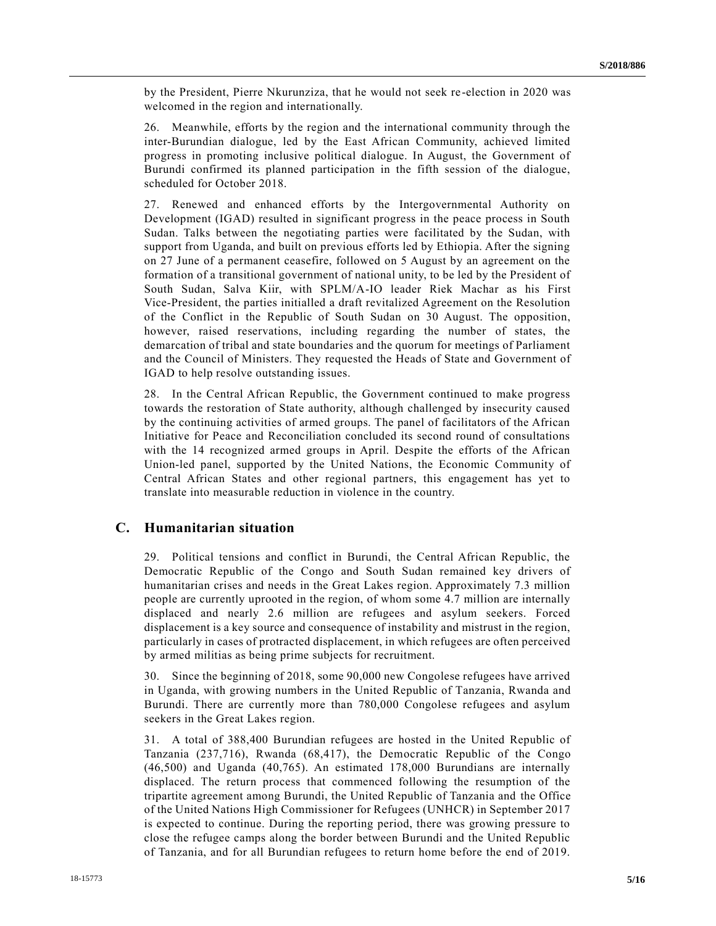by the President, Pierre Nkurunziza, that he would not seek re -election in 2020 was welcomed in the region and internationally.

26. Meanwhile, efforts by the region and the international community through the inter-Burundian dialogue, led by the East African Community, achieved limited progress in promoting inclusive political dialogue. In August, the Government of Burundi confirmed its planned participation in the fifth session of the dialogue, scheduled for October 2018.

27. Renewed and enhanced efforts by the Intergovernmental Authority on Development (IGAD) resulted in significant progress in the peace process in South Sudan. Talks between the negotiating parties were facilitated by the Sudan, with support from Uganda, and built on previous efforts led by Ethiopia. After the signing on 27 June of a permanent ceasefire, followed on 5 August by an agreement on the formation of a transitional government of national unity, to be led by the President of South Sudan, Salva Kiir, with SPLM/A-IO leader Riek Machar as his First Vice-President, the parties initialled a draft revitalized Agreement on the Resolution of the Conflict in the Republic of South Sudan on 30 August. The opposition, however, raised reservations, including regarding the number of states, the demarcation of tribal and state boundaries and the quorum for meetings of Parliament and the Council of Ministers. They requested the Heads of State and Government of IGAD to help resolve outstanding issues.

28. In the Central African Republic, the Government continued to make progress towards the restoration of State authority, although challenged by insecurity caused by the continuing activities of armed groups. The panel of facilitators of the African Initiative for Peace and Reconciliation concluded its second round of consultations with the 14 recognized armed groups in April. Despite the efforts of the African Union-led panel, supported by the United Nations, the Economic Community of Central African States and other regional partners, this engagement has yet to translate into measurable reduction in violence in the country.

### **C. Humanitarian situation**

29. Political tensions and conflict in Burundi, the Central African Republic, the Democratic Republic of the Congo and South Sudan remained key drivers of humanitarian crises and needs in the Great Lakes region. Approximately 7.3 million people are currently uprooted in the region, of whom some 4.7 million are internally displaced and nearly 2.6 million are refugees and asylum seekers. Forced displacement is a key source and consequence of instability and mistrust in the region, particularly in cases of protracted displacement, in which refugees are often perceived by armed militias as being prime subjects for recruitment.

30. Since the beginning of 2018, some 90,000 new Congolese refugees have arrived in Uganda, with growing numbers in the United Republic of Tanzania, Rwanda and Burundi. There are currently more than 780,000 Congolese refugees and asylum seekers in the Great Lakes region.

31. A total of 388,400 Burundian refugees are hosted in the United Republic of Tanzania (237,716), Rwanda (68,417), the Democratic Republic of the Congo (46,500) and Uganda (40,765). An estimated 178,000 Burundians are internally displaced. The return process that commenced following the resumption of the tripartite agreement among Burundi, the United Republic of Tanzania and the Office of the United Nations High Commissioner for Refugees (UNHCR) in September 2017 is expected to continue. During the reporting period, there was growing pressure to close the refugee camps along the border between Burundi and the United Republic of Tanzania, and for all Burundian refugees to return home before the end of 2019.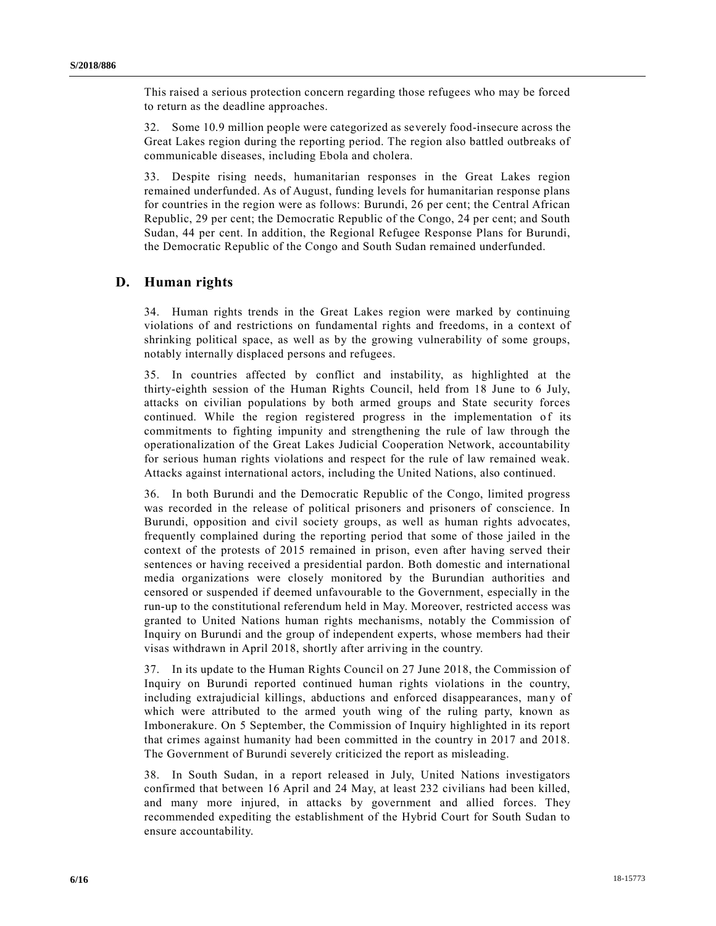This raised a serious protection concern regarding those refugees who may be forced to return as the deadline approaches.

32. Some 10.9 million people were categorized as severely food-insecure across the Great Lakes region during the reporting period. The region also battled outbreaks of communicable diseases, including Ebola and cholera.

33. Despite rising needs, humanitarian responses in the Great Lakes region remained underfunded. As of August, funding levels for humanitarian response plans for countries in the region were as follows: Burundi, 26 per cent; the Central African Republic, 29 per cent; the Democratic Republic of the Congo, 24 per cent; and South Sudan, 44 per cent. In addition, the Regional Refugee Response Plans for Burundi, the Democratic Republic of the Congo and South Sudan remained underfunded.

## **D. Human rights**

34. Human rights trends in the Great Lakes region were marked by continuing violations of and restrictions on fundamental rights and freedoms, in a context of shrinking political space, as well as by the growing vulnerability of some groups, notably internally displaced persons and refugees.

35. In countries affected by conflict and instability, as highlighted at the thirty-eighth session of the Human Rights Council, held from 18 June to 6 July, attacks on civilian populations by both armed groups and State security forces continued. While the region registered progress in the implementation of its commitments to fighting impunity and strengthening the rule of law through the operationalization of the Great Lakes Judicial Cooperation Network, accountability for serious human rights violations and respect for the rule of law remained weak. Attacks against international actors, including the United Nations, also continued.

36. In both Burundi and the Democratic Republic of the Congo, limited progress was recorded in the release of political prisoners and prisoners of conscience. In Burundi, opposition and civil society groups, as well as human rights advocates, frequently complained during the reporting period that some of those jailed in the context of the protests of 2015 remained in prison, even after having served their sentences or having received a presidential pardon. Both domestic and international media organizations were closely monitored by the Burundian authorities and censored or suspended if deemed unfavourable to the Government, especially in the run-up to the constitutional referendum held in May. Moreover, restricted access was granted to United Nations human rights mechanisms, notably the Commission of Inquiry on Burundi and the group of independent experts, whose members had their visas withdrawn in April 2018, shortly after arriving in the country.

37. In its update to the Human Rights Council on 27 June 2018, the Commission of Inquiry on Burundi reported continued human rights violations in the country, including extrajudicial killings, abductions and enforced disappearances, man y of which were attributed to the armed youth wing of the ruling party, known as Imbonerakure. On 5 September, the Commission of Inquiry highlighted in its report that crimes against humanity had been committed in the country in 2017 and 2018. The Government of Burundi severely criticized the report as misleading.

38. In South Sudan, in a report released in July, United Nations investigators confirmed that between 16 April and 24 May, at least 232 civilians had been killed, and many more injured, in attacks by government and allied forces. They recommended expediting the establishment of the Hybrid Court for South Sudan to ensure accountability.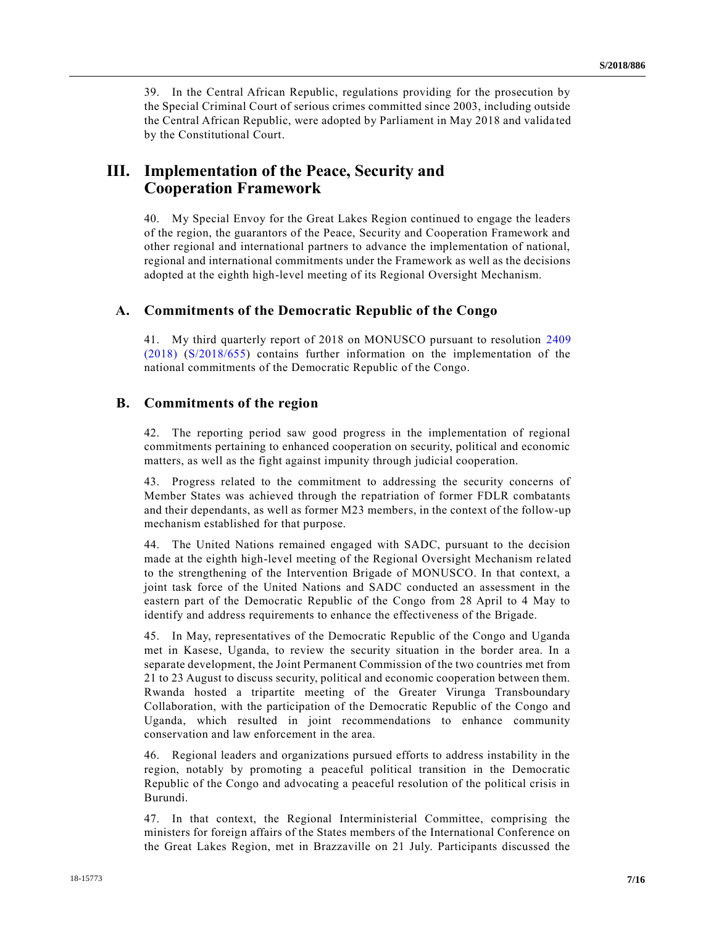39. In the Central African Republic, regulations providing for the prosecution by the Special Criminal Court of serious crimes committed since 2003, including outside the Central African Republic, were adopted by Parliament in May 2018 and valida ted by the Constitutional Court.

# **III. Implementation of the Peace, Security and Cooperation Framework**

40. My Special Envoy for the Great Lakes Region continued to engage the leaders of the region, the guarantors of the Peace, Security and Cooperation Framework and other regional and international partners to advance the implementation of national, regional and international commitments under the Framework as well as the decisions adopted at the eighth high-level meeting of its Regional Oversight Mechanism.

### **A. Commitments of the Democratic Republic of the Congo**

41. My third quarterly report of 2018 on MONUSCO pursuant to resolution [2409](https://undocs.org/S/RES/2409(2018))  [\(2018\)](https://undocs.org/S/RES/2409(2018)) [\(S/2018/655\)](https://undocs.org/S/2018/655) contains further information on the implementation of the national commitments of the Democratic Republic of the Congo.

### **B. Commitments of the region**

42. The reporting period saw good progress in the implementation of regional commitments pertaining to enhanced cooperation on security, political and economic matters, as well as the fight against impunity through judicial cooperation.

43. Progress related to the commitment to addressing the security concerns of Member States was achieved through the repatriation of former FDLR combatants and their dependants, as well as former M23 members, in the context of the follow-up mechanism established for that purpose.

44. The United Nations remained engaged with SADC, pursuant to the decision made at the eighth high-level meeting of the Regional Oversight Mechanism related to the strengthening of the Intervention Brigade of MONUSCO. In that context, a joint task force of the United Nations and SADC conducted an assessment in the eastern part of the Democratic Republic of the Congo from 28 April to 4 May to identify and address requirements to enhance the effectiveness of the Brigade.

45. In May, representatives of the Democratic Republic of the Congo and Uganda met in Kasese, Uganda, to review the security situation in the border area. In a separate development, the Joint Permanent Commission of the two countries met from 21 to 23 August to discuss security, political and economic cooperation between them. Rwanda hosted a tripartite meeting of the Greater Virunga Transboundary Collaboration, with the participation of the Democratic Republic of the Congo and Uganda, which resulted in joint recommendations to enhance community conservation and law enforcement in the area.

46. Regional leaders and organizations pursued efforts to address instability in the region, notably by promoting a peaceful political transition in the Democratic Republic of the Congo and advocating a peaceful resolution of the political crisis in Burundi.

47. In that context, the Regional Interministerial Committee, comprising the ministers for foreign affairs of the States members of the International Conference on the Great Lakes Region, met in Brazzaville on 21 July. Participants discussed the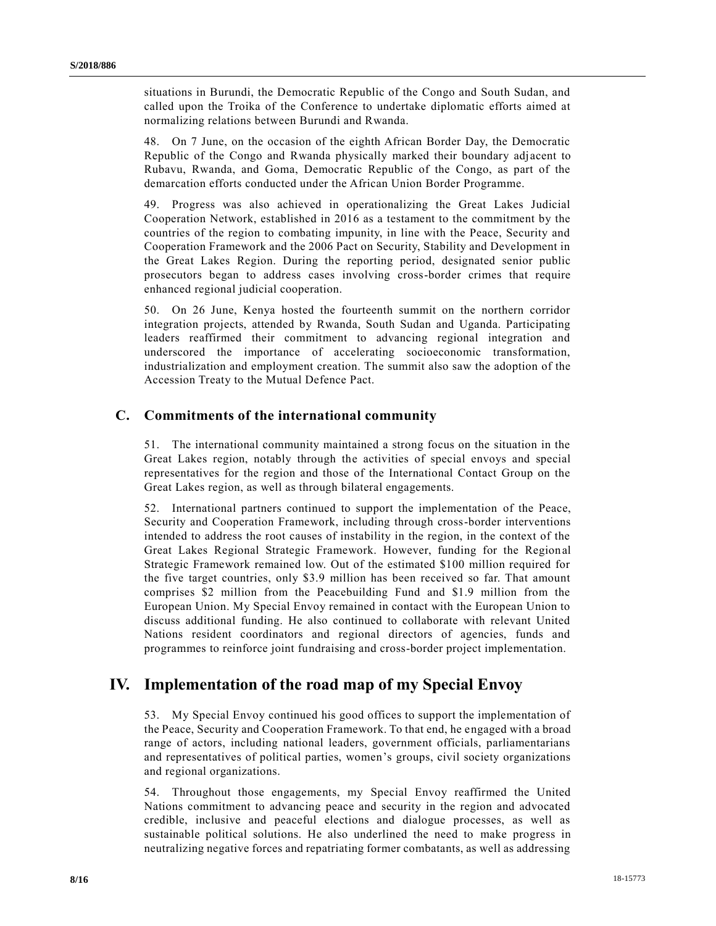situations in Burundi, the Democratic Republic of the Congo and South Sudan, and called upon the Troika of the Conference to undertake diplomatic efforts aimed at normalizing relations between Burundi and Rwanda.

48. On 7 June, on the occasion of the eighth African Border Day, the Democratic Republic of the Congo and Rwanda physically marked their boundary adjacent to Rubavu, Rwanda, and Goma, Democratic Republic of the Congo, as part of the demarcation efforts conducted under the African Union Border Programme.

49. Progress was also achieved in operationalizing the Great Lakes Judicial Cooperation Network, established in 2016 as a testament to the commitment by the countries of the region to combating impunity, in line with the Peace, Security and Cooperation Framework and the 2006 Pact on Security, Stability and Development in the Great Lakes Region. During the reporting period, designated senior public prosecutors began to address cases involving cross-border crimes that require enhanced regional judicial cooperation.

50. On 26 June, Kenya hosted the fourteenth summit on the northern corridor integration projects, attended by Rwanda, South Sudan and Uganda. Participating leaders reaffirmed their commitment to advancing regional integration and underscored the importance of accelerating socioeconomic transformation, industrialization and employment creation. The summit also saw the adoption of the Accession Treaty to the Mutual Defence Pact.

## **C. Commitments of the international community**

51. The international community maintained a strong focus on the situation in the Great Lakes region, notably through the activities of special envoys and special representatives for the region and those of the International Contact Group on the Great Lakes region, as well as through bilateral engagements.

52. International partners continued to support the implementation of the Peace, Security and Cooperation Framework, including through cross-border interventions intended to address the root causes of instability in the region, in the context of the Great Lakes Regional Strategic Framework. However, funding for the Regional Strategic Framework remained low. Out of the estimated \$100 million required for the five target countries, only \$3.9 million has been received so far. That amount comprises \$2 million from the Peacebuilding Fund and \$1.9 million from the European Union. My Special Envoy remained in contact with the European Union to discuss additional funding. He also continued to collaborate with relevant United Nations resident coordinators and regional directors of agencies, funds and programmes to reinforce joint fundraising and cross-border project implementation.

# **IV. Implementation of the road map of my Special Envoy**

53. My Special Envoy continued his good offices to support the implementation of the Peace, Security and Cooperation Framework. To that end, he engaged with a broad range of actors, including national leaders, government officials, parliamentarians and representatives of political parties, women's groups, civil society organizations and regional organizations.

54. Throughout those engagements, my Special Envoy reaffirmed the United Nations commitment to advancing peace and security in the region and advocated credible, inclusive and peaceful elections and dialogue processes, as well as sustainable political solutions. He also underlined the need to make progress in neutralizing negative forces and repatriating former combatants, as well as addressing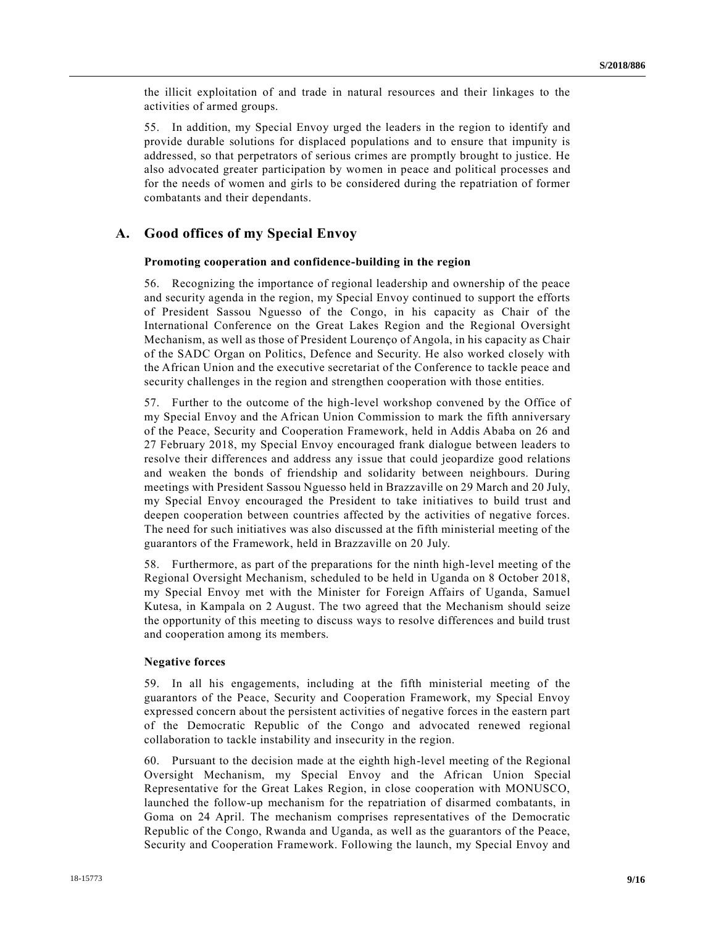the illicit exploitation of and trade in natural resources and their linkages to the activities of armed groups.

55. In addition, my Special Envoy urged the leaders in the region to identify and provide durable solutions for displaced populations and to ensure that impunity is addressed, so that perpetrators of serious crimes are promptly brought to justice. He also advocated greater participation by women in peace and political processes and for the needs of women and girls to be considered during the repatriation of former combatants and their dependants.

### **A. Good offices of my Special Envoy**

#### **Promoting cooperation and confidence-building in the region**

56. Recognizing the importance of regional leadership and ownership of the peace and security agenda in the region, my Special Envoy continued to support the efforts of President Sassou Nguesso of the Congo, in his capacity as Chair of the International Conference on the Great Lakes Region and the Regional Oversight Mechanism, as well as those of President Lourenço of Angola, in his capacity as Chair of the SADC Organ on Politics, Defence and Security. He also worked closely with the African Union and the executive secretariat of the Conference to tackle peace and security challenges in the region and strengthen cooperation with those entities.

57. Further to the outcome of the high-level workshop convened by the Office of my Special Envoy and the African Union Commission to mark the fifth anniversary of the Peace, Security and Cooperation Framework, held in Addis Ababa on 26 and 27 February 2018, my Special Envoy encouraged frank dialogue between leaders to resolve their differences and address any issue that could jeopardize good relations and weaken the bonds of friendship and solidarity between neighbours. During meetings with President Sassou Nguesso held in Brazzaville on 29 March and 20 July, my Special Envoy encouraged the President to take initiatives to build trust and deepen cooperation between countries affected by the activities of negative forces. The need for such initiatives was also discussed at the fifth ministerial meeting of the guarantors of the Framework, held in Brazzaville on 20 July.

58. Furthermore, as part of the preparations for the ninth high-level meeting of the Regional Oversight Mechanism, scheduled to be held in Uganda on 8 October 2018, my Special Envoy met with the Minister for Foreign Affairs of Uganda, Samuel Kutesa, in Kampala on 2 August. The two agreed that the Mechanism should seize the opportunity of this meeting to discuss ways to resolve differences and build trust and cooperation among its members.

#### **Negative forces**

59. In all his engagements, including at the fifth ministerial meeting of the guarantors of the Peace, Security and Cooperation Framework, my Special Envoy expressed concern about the persistent activities of negative forces in the eastern part of the Democratic Republic of the Congo and advocated renewed regional collaboration to tackle instability and insecurity in the region.

60. Pursuant to the decision made at the eighth high-level meeting of the Regional Oversight Mechanism, my Special Envoy and the African Union Special Representative for the Great Lakes Region, in close cooperation with MONUSCO, launched the follow-up mechanism for the repatriation of disarmed combatants, in Goma on 24 April. The mechanism comprises representatives of the Democratic Republic of the Congo, Rwanda and Uganda, as well as the guarantors of the Peace, Security and Cooperation Framework. Following the launch, my Special Envoy and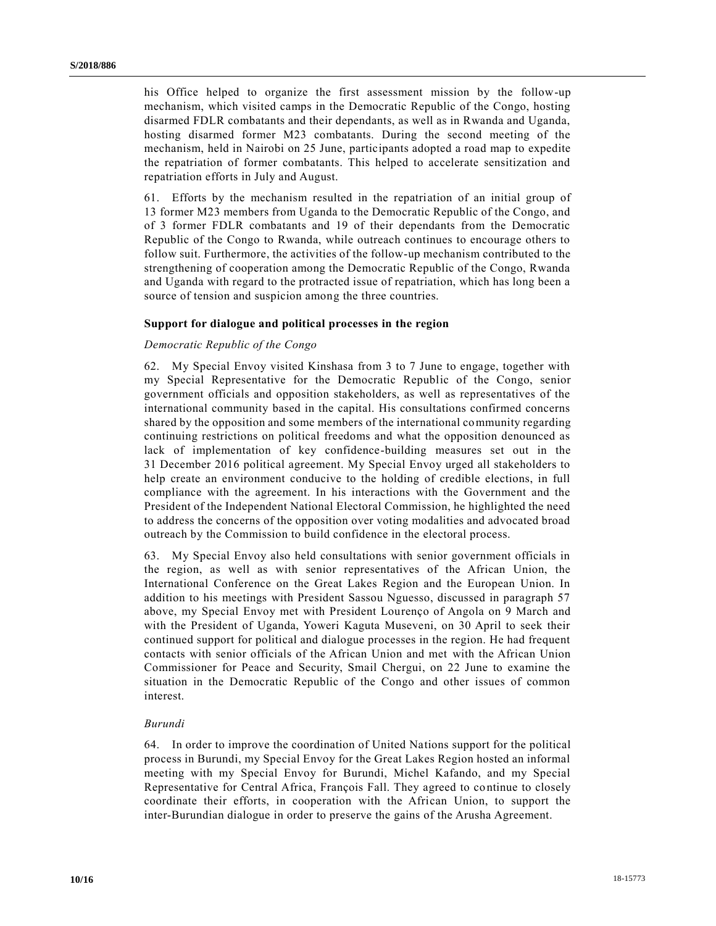his Office helped to organize the first assessment mission by the follow-up mechanism, which visited camps in the Democratic Republic of the Congo, hosting disarmed FDLR combatants and their dependants, as well as in Rwanda and Uganda, hosting disarmed former M23 combatants. During the second meeting of the mechanism, held in Nairobi on 25 June, participants adopted a road map to expedite the repatriation of former combatants. This helped to accelerate sensitization and repatriation efforts in July and August.

61. Efforts by the mechanism resulted in the repatriation of an initial group of 13 former M23 members from Uganda to the Democratic Republic of the Congo, and of 3 former FDLR combatants and 19 of their dependants from the Democratic Republic of the Congo to Rwanda, while outreach continues to encourage others to follow suit. Furthermore, the activities of the follow-up mechanism contributed to the strengthening of cooperation among the Democratic Republic of the Congo, Rwanda and Uganda with regard to the protracted issue of repatriation, which has long been a source of tension and suspicion among the three countries.

#### **Support for dialogue and political processes in the region**

#### *Democratic Republic of the Congo*

62. My Special Envoy visited Kinshasa from 3 to 7 June to engage, together with my Special Representative for the Democratic Republic of the Congo, senior government officials and opposition stakeholders, as well as representatives of the international community based in the capital. His consultations confirmed concerns shared by the opposition and some members of the international community regarding continuing restrictions on political freedoms and what the opposition denounced as lack of implementation of key confidence-building measures set out in the 31 December 2016 political agreement. My Special Envoy urged all stakeholders to help create an environment conducive to the holding of credible elections, in full compliance with the agreement. In his interactions with the Government and the President of the Independent National Electoral Commission, he highlighted the need to address the concerns of the opposition over voting modalities and advocated broad outreach by the Commission to build confidence in the electoral process.

63. My Special Envoy also held consultations with senior government officials in the region, as well as with senior representatives of the African Union, the International Conference on the Great Lakes Region and the European Union. In addition to his meetings with President Sassou Nguesso, discussed in paragraph 57 above, my Special Envoy met with President Lourenço of Angola on 9 March and with the President of Uganda, Yoweri Kaguta Museveni, on 30 April to seek their continued support for political and dialogue processes in the region. He had frequent contacts with senior officials of the African Union and met with the African Union Commissioner for Peace and Security, Smail Chergui, on 22 June to examine the situation in the Democratic Republic of the Congo and other issues of common interest.

#### *Burundi*

64. In order to improve the coordination of United Nations support for the political process in Burundi, my Special Envoy for the Great Lakes Region hosted an informal meeting with my Special Envoy for Burundi, Michel Kafando, and my Special Representative for Central Africa, François Fall. They agreed to continue to closely coordinate their efforts, in cooperation with the African Union, to support the inter-Burundian dialogue in order to preserve the gains of the Arusha Agreement.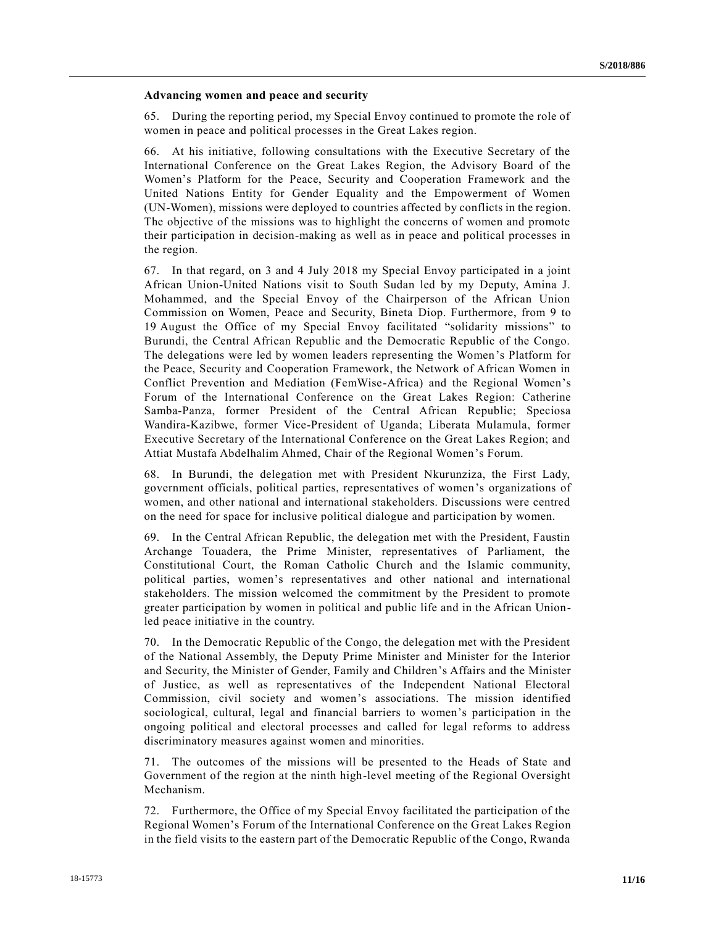#### **Advancing women and peace and security**

65. During the reporting period, my Special Envoy continued to promote the role of women in peace and political processes in the Great Lakes region.

66. At his initiative, following consultations with the Executive Secretary of the International Conference on the Great Lakes Region, the Advisory Board of the Women's Platform for the Peace, Security and Cooperation Framework and the United Nations Entity for Gender Equality and the Empowerment of Women (UN-Women), missions were deployed to countries affected by conflicts in the region. The objective of the missions was to highlight the concerns of women and promote their participation in decision-making as well as in peace and political processes in the region.

67. In that regard, on 3 and 4 July 2018 my Special Envoy participated in a joint African Union-United Nations visit to South Sudan led by my Deputy, Amina J. Mohammed, and the Special Envoy of the Chairperson of the African Union Commission on Women, Peace and Security, Bineta Diop. Furthermore, from 9 to 19 August the Office of my Special Envoy facilitated "solidarity missions" to Burundi, the Central African Republic and the Democratic Republic of the Congo. The delegations were led by women leaders representing the Women's Platform for the Peace, Security and Cooperation Framework, the Network of African Women in Conflict Prevention and Mediation (FemWise-Africa) and the Regional Women's Forum of the International Conference on the Great Lakes Region: Catherine Samba-Panza, former President of the Central African Republic; Speciosa Wandira-Kazibwe, former Vice-President of Uganda; Liberata Mulamula, former Executive Secretary of the International Conference on the Great Lakes Region; and Attiat Mustafa Abdelhalim Ahmed, Chair of the Regional Women's Forum.

68. In Burundi, the delegation met with President Nkurunziza, the First Lady, government officials, political parties, representatives of women's organizations of women, and other national and international stakeholders. Discussions were centred on the need for space for inclusive political dialogue and participation by women.

69. In the Central African Republic, the delegation met with the President, Faustin Archange Touadera, the Prime Minister, representatives of Parliament, the Constitutional Court, the Roman Catholic Church and the Islamic community, political parties, women's representatives and other national and international stakeholders. The mission welcomed the commitment by the President to promote greater participation by women in political and public life and in the African Unionled peace initiative in the country.

70. In the Democratic Republic of the Congo, the delegation met with the President of the National Assembly, the Deputy Prime Minister and Minister for the Interior and Security, the Minister of Gender, Family and Children's Affairs and the Minister of Justice, as well as representatives of the Independent National Electoral Commission, civil society and women's associations. The mission identified sociological, cultural, legal and financial barriers to women's participation in the ongoing political and electoral processes and called for legal reforms to address discriminatory measures against women and minorities.

71. The outcomes of the missions will be presented to the Heads of State and Government of the region at the ninth high-level meeting of the Regional Oversight Mechanism.

72. Furthermore, the Office of my Special Envoy facilitated the participation of the Regional Women's Forum of the International Conference on the Great Lakes Region in the field visits to the eastern part of the Democratic Republic of the Congo, Rwanda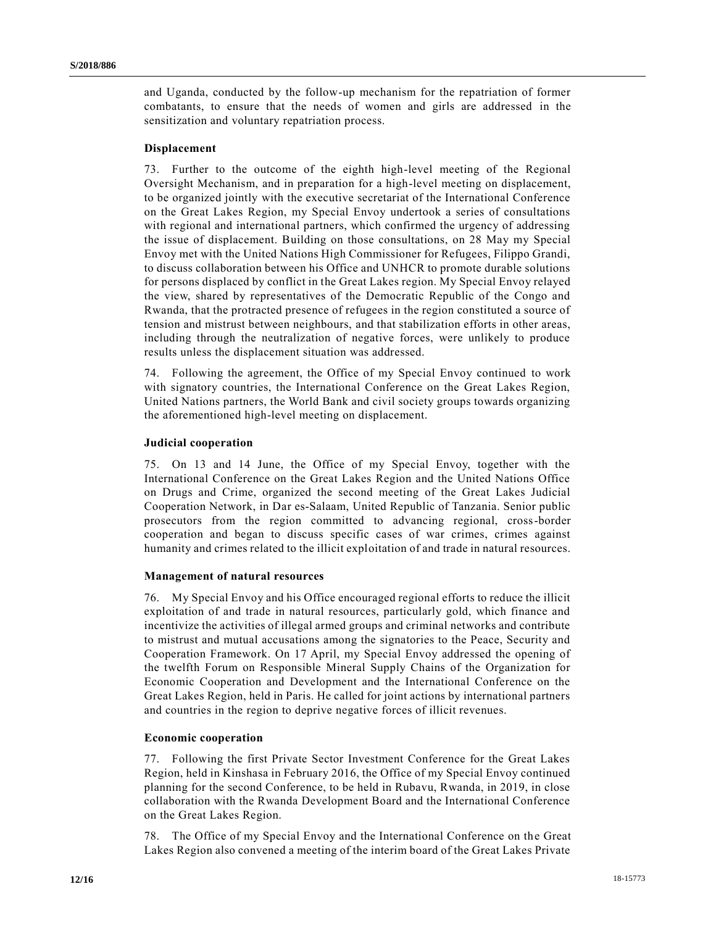and Uganda, conducted by the follow-up mechanism for the repatriation of former combatants, to ensure that the needs of women and girls are addressed in the sensitization and voluntary repatriation process.

#### **Displacement**

73. Further to the outcome of the eighth high-level meeting of the Regional Oversight Mechanism, and in preparation for a high-level meeting on displacement, to be organized jointly with the executive secretariat of the International Conference on the Great Lakes Region, my Special Envoy undertook a series of consultations with regional and international partners, which confirmed the urgency of addressing the issue of displacement. Building on those consultations, on 28 May my Special Envoy met with the United Nations High Commissioner for Refugees, Filippo Grandi, to discuss collaboration between his Office and UNHCR to promote durable solutions for persons displaced by conflict in the Great Lakes region. My Special Envoy relayed the view, shared by representatives of the Democratic Republic of the Congo and Rwanda, that the protracted presence of refugees in the region constituted a source of tension and mistrust between neighbours, and that stabilization efforts in other areas, including through the neutralization of negative forces, were unlikely to produce results unless the displacement situation was addressed.

74. Following the agreement, the Office of my Special Envoy continued to work with signatory countries, the International Conference on the Great Lakes Region, United Nations partners, the World Bank and civil society groups towards organizing the aforementioned high-level meeting on displacement.

#### **Judicial cooperation**

75. On 13 and 14 June, the Office of my Special Envoy, together with the International Conference on the Great Lakes Region and the United Nations Office on Drugs and Crime, organized the second meeting of the Great Lakes Judicial Cooperation Network, in Dar es-Salaam, United Republic of Tanzania. Senior public prosecutors from the region committed to advancing regional, cross-border cooperation and began to discuss specific cases of war crimes, crimes against humanity and crimes related to the illicit exploitation of and trade in natural resources.

#### **Management of natural resources**

76. My Special Envoy and his Office encouraged regional efforts to reduce the illicit exploitation of and trade in natural resources, particularly gold, which finance and incentivize the activities of illegal armed groups and criminal networks and contribute to mistrust and mutual accusations among the signatories to the Peace, Security and Cooperation Framework. On 17 April, my Special Envoy addressed the opening of the twelfth Forum on Responsible Mineral Supply Chains of the Organization for Economic Cooperation and Development and the International Conference on the Great Lakes Region, held in Paris. He called for joint actions by international partners and countries in the region to deprive negative forces of illicit revenues.

#### **Economic cooperation**

77. Following the first Private Sector Investment Conference for the Great Lakes Region, held in Kinshasa in February 2016, the Office of my Special Envoy continued planning for the second Conference, to be held in Rubavu, Rwanda, in 2019, in close collaboration with the Rwanda Development Board and the International Conference on the Great Lakes Region.

78. The Office of my Special Envoy and the International Conference on the Great Lakes Region also convened a meeting of the interim board of the Great Lakes Private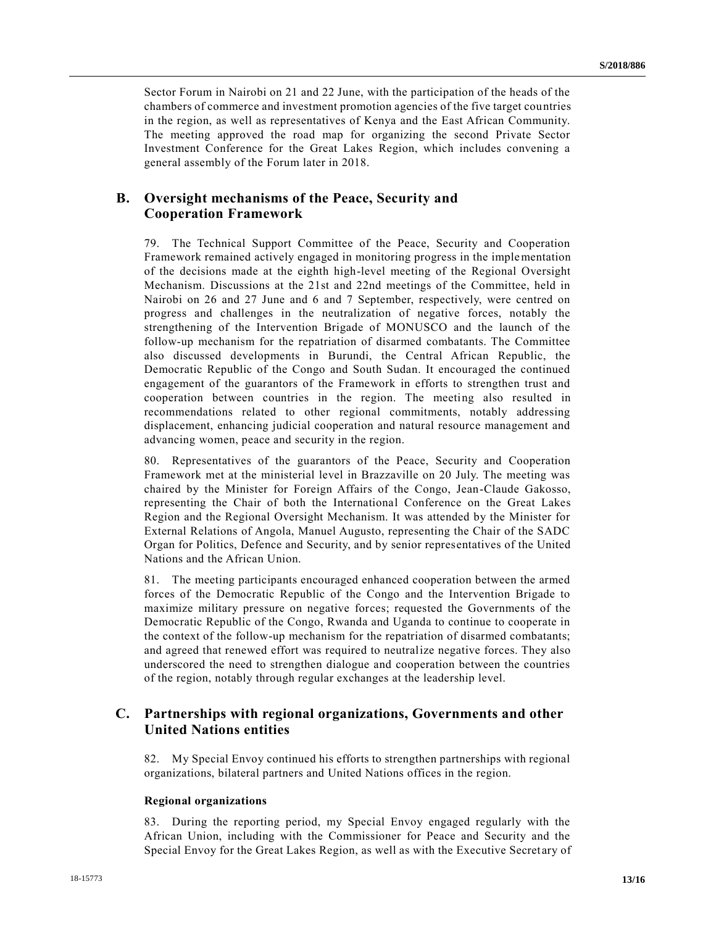Sector Forum in Nairobi on 21 and 22 June, with the participation of the heads of the chambers of commerce and investment promotion agencies of the five target countries in the region, as well as representatives of Kenya and the East African Community. The meeting approved the road map for organizing the second Private Sector Investment Conference for the Great Lakes Region, which includes convening a general assembly of the Forum later in 2018.

## **B. Oversight mechanisms of the Peace, Security and Cooperation Framework**

79. The Technical Support Committee of the Peace, Security and Cooperation Framework remained actively engaged in monitoring progress in the implementation of the decisions made at the eighth high-level meeting of the Regional Oversight Mechanism. Discussions at the 21st and 22nd meetings of the Committee, held in Nairobi on 26 and 27 June and 6 and 7 September, respectively, were centred on progress and challenges in the neutralization of negative forces, notably the strengthening of the Intervention Brigade of MONUSCO and the launch of the follow-up mechanism for the repatriation of disarmed combatants. The Committee also discussed developments in Burundi, the Central African Republic, the Democratic Republic of the Congo and South Sudan. It encouraged the continued engagement of the guarantors of the Framework in efforts to strengthen trust and cooperation between countries in the region. The meeting also resulted in recommendations related to other regional commitments, notably addressing displacement, enhancing judicial cooperation and natural resource management and advancing women, peace and security in the region.

80. Representatives of the guarantors of the Peace, Security and Cooperation Framework met at the ministerial level in Brazzaville on 20 July. The meeting was chaired by the Minister for Foreign Affairs of the Congo, Jean-Claude Gakosso, representing the Chair of both the International Conference on the Great Lakes Region and the Regional Oversight Mechanism. It was attended by the Minister for External Relations of Angola, Manuel Augusto, representing the Chair of the SADC Organ for Politics, Defence and Security, and by senior representatives of the United Nations and the African Union.

81. The meeting participants encouraged enhanced cooperation between the armed forces of the Democratic Republic of the Congo and the Intervention Brigade to maximize military pressure on negative forces; requested the Governments of the Democratic Republic of the Congo, Rwanda and Uganda to continue to cooperate in the context of the follow-up mechanism for the repatriation of disarmed combatants; and agreed that renewed effort was required to neutralize negative forces. They also underscored the need to strengthen dialogue and cooperation between the countries of the region, notably through regular exchanges at the leadership level.

## **C. Partnerships with regional organizations, Governments and other United Nations entities**

82. My Special Envoy continued his efforts to strengthen partnerships with regional organizations, bilateral partners and United Nations offices in the region.

#### **Regional organizations**

83. During the reporting period, my Special Envoy engaged regularly with the African Union, including with the Commissioner for Peace and Security and the Special Envoy for the Great Lakes Region, as well as with the Executive Secret ary of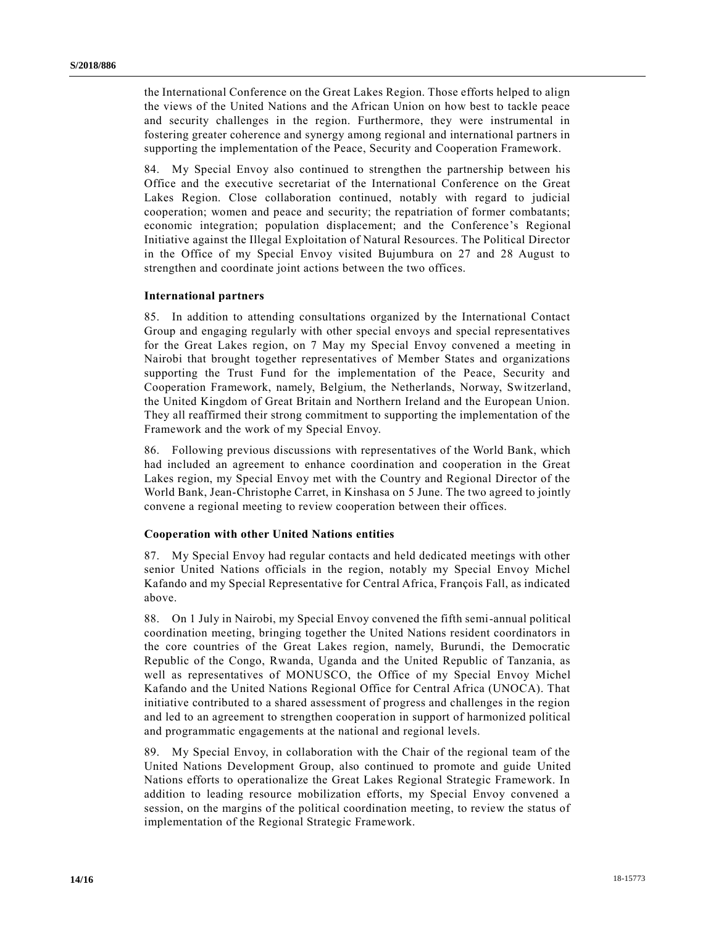the International Conference on the Great Lakes Region. Those efforts helped to align the views of the United Nations and the African Union on how best to tackle peace and security challenges in the region. Furthermore, they were instrumental in fostering greater coherence and synergy among regional and international partners in supporting the implementation of the Peace, Security and Cooperation Framework.

84. My Special Envoy also continued to strengthen the partnership between his Office and the executive secretariat of the International Conference on the Great Lakes Region. Close collaboration continued, notably with regard to judicial cooperation; women and peace and security; the repatriation of former combatants; economic integration; population displacement; and the Conference's Regional Initiative against the Illegal Exploitation of Natural Resources. The Political Director in the Office of my Special Envoy visited Bujumbura on 27 and 28 August to strengthen and coordinate joint actions between the two offices.

#### **International partners**

85. In addition to attending consultations organized by the International Contact Group and engaging regularly with other special envoys and special representatives for the Great Lakes region, on 7 May my Special Envoy convened a meeting in Nairobi that brought together representatives of Member States and organizations supporting the Trust Fund for the implementation of the Peace, Security and Cooperation Framework, namely, Belgium, the Netherlands, Norway, Switzerland, the United Kingdom of Great Britain and Northern Ireland and the European Union. They all reaffirmed their strong commitment to supporting the implementation of the Framework and the work of my Special Envoy.

86. Following previous discussions with representatives of the World Bank, which had included an agreement to enhance coordination and cooperation in the Great Lakes region, my Special Envoy met with the Country and Regional Director of the World Bank, Jean-Christophe Carret, in Kinshasa on 5 June. The two agreed to jointly convene a regional meeting to review cooperation between their offices.

#### **Cooperation with other United Nations entities**

87. My Special Envoy had regular contacts and held dedicated meetings with other senior United Nations officials in the region, notably my Special Envoy Michel Kafando and my Special Representative for Central Africa, François Fall, as indicated above.

88. On 1 July in Nairobi, my Special Envoy convened the fifth semi-annual political coordination meeting, bringing together the United Nations resident coordinators in the core countries of the Great Lakes region, namely, Burundi, the Democratic Republic of the Congo, Rwanda, Uganda and the United Republic of Tanzania, as well as representatives of MONUSCO, the Office of my Special Envoy Michel Kafando and the United Nations Regional Office for Central Africa (UNOCA). That initiative contributed to a shared assessment of progress and challenges in the region and led to an agreement to strengthen cooperation in support of harmonized political and programmatic engagements at the national and regional levels.

89. My Special Envoy, in collaboration with the Chair of the regional team of the United Nations Development Group, also continued to promote and guide United Nations efforts to operationalize the Great Lakes Regional Strategic Framework. In addition to leading resource mobilization efforts, my Special Envoy convened a session, on the margins of the political coordination meeting, to review the status of implementation of the Regional Strategic Framework.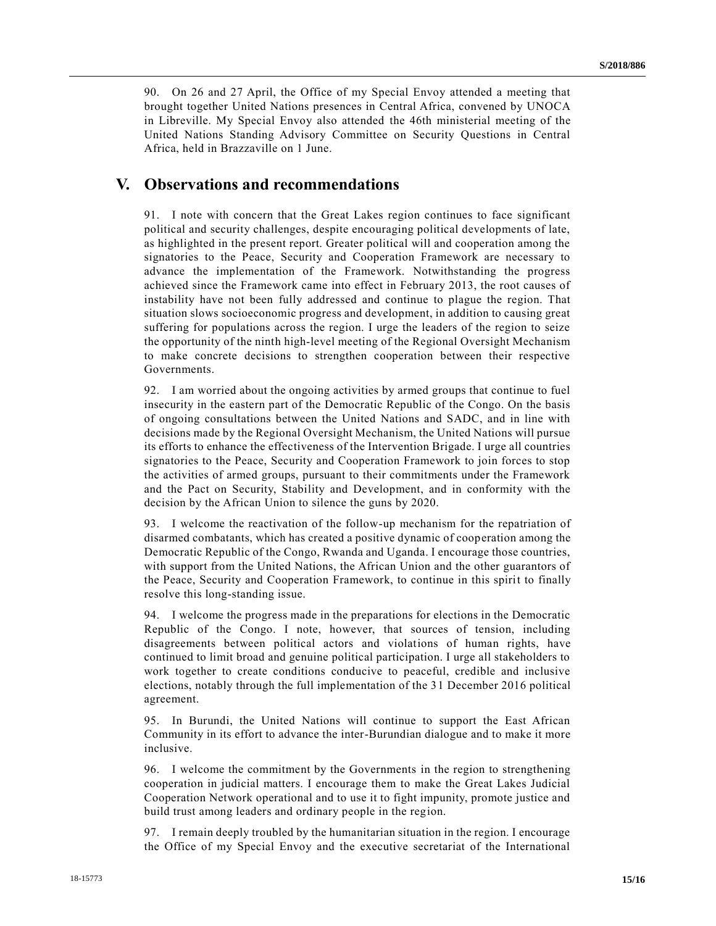90. On 26 and 27 April, the Office of my Special Envoy attended a meeting that brought together United Nations presences in Central Africa, convened by UNOCA in Libreville. My Special Envoy also attended the 46th ministerial meeting of the United Nations Standing Advisory Committee on Security Questions in Central Africa, held in Brazzaville on 1 June.

## **V. Observations and recommendations**

91. I note with concern that the Great Lakes region continues to face significant political and security challenges, despite encouraging political developments of late, as highlighted in the present report. Greater political will and cooperation among the signatories to the Peace, Security and Cooperation Framework are necessary to advance the implementation of the Framework. Notwithstanding the progress achieved since the Framework came into effect in February 2013, the root causes of instability have not been fully addressed and continue to plague the region. That situation slows socioeconomic progress and development, in addition to causing great suffering for populations across the region. I urge the leaders of the region to seize the opportunity of the ninth high-level meeting of the Regional Oversight Mechanism to make concrete decisions to strengthen cooperation between their respective Governments.

92. I am worried about the ongoing activities by armed groups that continue to fuel insecurity in the eastern part of the Democratic Republic of the Congo. On the basis of ongoing consultations between the United Nations and SADC, and in line with decisions made by the Regional Oversight Mechanism, the United Nations will pursue its efforts to enhance the effectiveness of the Intervention Brigade. I urge all countries signatories to the Peace, Security and Cooperation Framework to join forces to stop the activities of armed groups, pursuant to their commitments under the Framework and the Pact on Security, Stability and Development, and in conformity with the decision by the African Union to silence the guns by 2020.

93. I welcome the reactivation of the follow-up mechanism for the repatriation of disarmed combatants, which has created a positive dynamic of cooperation among the Democratic Republic of the Congo, Rwanda and Uganda. I encourage those countries, with support from the United Nations, the African Union and the other guarantors of the Peace, Security and Cooperation Framework, to continue in this spirit to finally resolve this long-standing issue.

94. I welcome the progress made in the preparations for elections in the Democratic Republic of the Congo. I note, however, that sources of tension, including disagreements between political actors and violations of human rights, have continued to limit broad and genuine political participation. I urge all stakeholders to work together to create conditions conducive to peaceful, credible and inclusive elections, notably through the full implementation of the 31 December 2016 political agreement.

95. In Burundi, the United Nations will continue to support the East African Community in its effort to advance the inter-Burundian dialogue and to make it more inclusive.

96. I welcome the commitment by the Governments in the region to strengthening cooperation in judicial matters. I encourage them to make the Great Lakes Judicial Cooperation Network operational and to use it to fight impunity, promote justice and build trust among leaders and ordinary people in the region.

97. I remain deeply troubled by the humanitarian situation in the region. I encourage the Office of my Special Envoy and the executive secretariat of the International